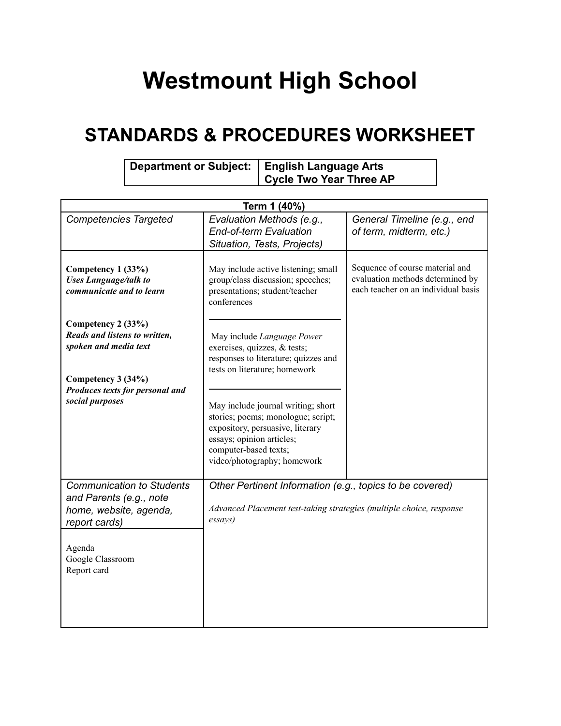## **Westmount High School**

## **STANDARDS & PROCEDURES WORKSHEET**

| Department or Subject:   English Language Arts |                         |  |
|------------------------------------------------|-------------------------|--|
|                                                | Cycle Two Year Three AP |  |

| Term 1 (40%)                                                                                                                         |                                                                                                                                                                                                   |                                                                                                            |  |
|--------------------------------------------------------------------------------------------------------------------------------------|---------------------------------------------------------------------------------------------------------------------------------------------------------------------------------------------------|------------------------------------------------------------------------------------------------------------|--|
| <b>Competencies Targeted</b>                                                                                                         | Evaluation Methods (e.g.,<br><b>End-of-term Evaluation</b><br>Situation, Tests, Projects)                                                                                                         | General Timeline (e.g., end<br>of term, midterm, etc.)                                                     |  |
| Competency 1 (33%)<br><b>Uses Language/talk to</b><br>communicate and to learn                                                       | May include active listening; small<br>group/class discussion; speeches;<br>presentations; student/teacher<br>conferences                                                                         | Sequence of course material and<br>evaluation methods determined by<br>each teacher on an individual basis |  |
| Competency 2 (33%)<br>Reads and listens to written,<br>spoken and media text                                                         | May include Language Power<br>exercises, quizzes, & tests;<br>responses to literature; quizzes and<br>tests on literature; homework                                                               |                                                                                                            |  |
| Competency 3 (34%)<br>Produces texts for personal and<br>social purposes                                                             | May include journal writing; short<br>stories; poems; monologue; script;<br>expository, persuasive, literary<br>essays; opinion articles;<br>computer-based texts;<br>video/photography; homework |                                                                                                            |  |
| <b>Communication to Students</b><br>and Parents (e.g., note<br>home, website, agenda,<br>report cards)<br>Agenda<br>Google Classroom | Other Pertinent Information (e.g., topics to be covered)<br>Advanced Placement test-taking strategies (multiple choice, response<br>essays)                                                       |                                                                                                            |  |
| Report card                                                                                                                          |                                                                                                                                                                                                   |                                                                                                            |  |